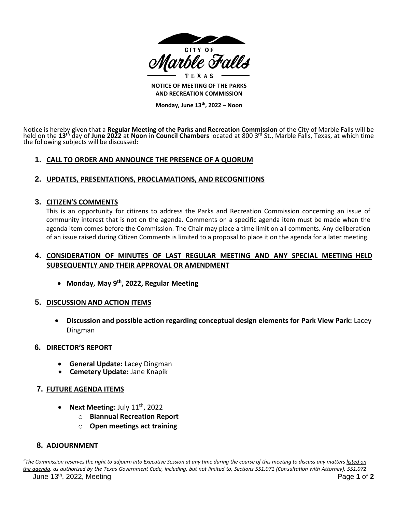

**NOTICE OF MEETING OF THE PARKS AND RECREATION COMMISSION**

**Monday, June 13th , 2022 – Noon**

Notice is hereby given that a **Regular Meeting of the Parks and Recreation Commission** of the City of Marble Falls will be held on the **13th** day of **June 2022** at **Noon** in **Council Chambers** located at 800 3rd St., Marble Falls, Texas, at which time the following subjects will be discussed:

# **1. CALL TO ORDER AND ANNOUNCE THE PRESENCE OF A QUORUM**

## **2. UPDATES, PRESENTATIONS, PROCLAMATIONS, AND RECOGNITIONS**

## **3. CITIZEN'S COMMENTS**

This is an opportunity for citizens to address the Parks and Recreation Commission concerning an issue of community interest that is not on the agenda. Comments on a specific agenda item must be made when the agenda item comes before the Commission. The Chair may place a time limit on all comments. Any deliberation of an issue raised during Citizen Comments is limited to a proposal to place it on the agenda for a later meeting.

## **4. CONSIDERATION OF MINUTES OF LAST REGULAR MEETING AND ANY SPECIAL MEETING HELD SUBSEQUENTLY AND THEIR APPROVAL OR AMENDMENT**

• **Monday, May 9 th , 2022, Regular Meeting**

### **5. DISCUSSION AND ACTION ITEMS**

• **Discussion and possible action regarding conceptual design elements for Park View Park:** Lacey Dingman

### **6. DIRECTOR'S REPORT**

- **General Update:** Lacey Dingman
- **Cemetery Update:** Jane Knapik

## **7. FUTURE AGENDA ITEMS**

- **Next Meeting: July 11<sup>th</sup>, 2022** 
	- o **Biannual Recreation Report**
	- o **Open meetings act training**

## **8. ADJOURNMENT**

June 13th , 2022, Meeting Page **1** of **2** *"The Commission reserves the right to adjourn into Executive Session at any time during the course of this meeting to discuss any matters listed on the agenda, as authorized by the Texas Government Code, including, but not limited to, Sections 551.071 (Consultation with Attorney), 551.072*